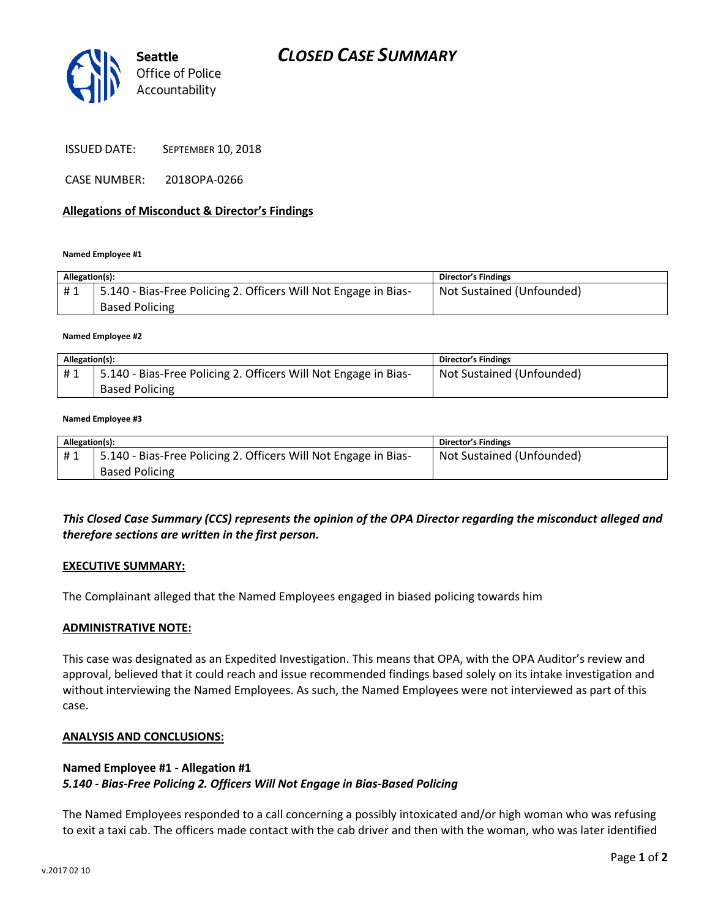

CASE NUMBER: 2018OPA-0266

### **Allegations of Misconduct & Director's Findings**

#### **Named Employee #1**

| Allegation(s): |                                                                                          | <b>Director's Findings</b> |
|----------------|------------------------------------------------------------------------------------------|----------------------------|
| #1             | 5.140 - Bias-Free Policing 2. Officers Will Not Engage in Bias-<br><b>Based Policing</b> | Not Sustained (Unfounded)  |

#### **Named Employee #2**

| Allegation(s): |                                                                 | <b>Director's Findings</b> |
|----------------|-----------------------------------------------------------------|----------------------------|
| #1             | 5.140 - Bias-Free Policing 2. Officers Will Not Engage in Bias- | Not Sustained (Unfounded)  |
|                | <b>Based Policing</b>                                           |                            |

#### **Named Employee #3**

| Allegation(s): |                                                                 | <b>Director's Findings</b> |
|----------------|-----------------------------------------------------------------|----------------------------|
| #1             | 5.140 - Bias-Free Policing 2. Officers Will Not Engage in Bias- | Not Sustained (Unfounded)  |
|                | <b>Based Policing</b>                                           |                            |

# *This Closed Case Summary (CCS) represents the opinion of the OPA Director regarding the misconduct alleged and therefore sections are written in the first person.*

### **EXECUTIVE SUMMARY:**

The Complainant alleged that the Named Employees engaged in biased policing towards him

### **ADMINISTRATIVE NOTE:**

This case was designated as an Expedited Investigation. This means that OPA, with the OPA Auditor's review and approval, believed that it could reach and issue recommended findings based solely on its intake investigation and without interviewing the Named Employees. As such, the Named Employees were not interviewed as part of this case.

### **ANALYSIS AND CONCLUSIONS:**

## **Named Employee #1 - Allegation #1**

## *5.140 - Bias-Free Policing 2. Officers Will Not Engage in Bias-Based Policing*

The Named Employees responded to a call concerning a possibly intoxicated and/or high woman who was refusing to exit a taxi cab. The officers made contact with the cab driver and then with the woman, who was later identified